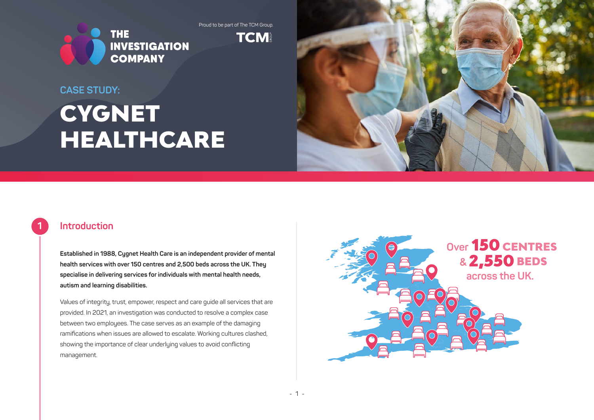Proud to be part of The TCM Group.



**TCM** 

#### **CASE STUDY:**

# **CYGNET** HEALTHCARE



## **Introduction**

**1**

**Established in 1988, Cygnet Health Care is an independent provider of mental health services with over 150 centres and 2,500 beds across the UK. They specialise in delivering services for individuals with mental health needs, autism and learning disabilities.** 

Values of integrity, trust, empower, respect and care guide all services that are provided. In 2021, an investigation was conducted to resolve a complex case between two employees. The case serves as an example of the damaging ramifications when issues are allowed to escalate. Working cultures clashed, showing the importance of clear underlying values to avoid conflicting management.

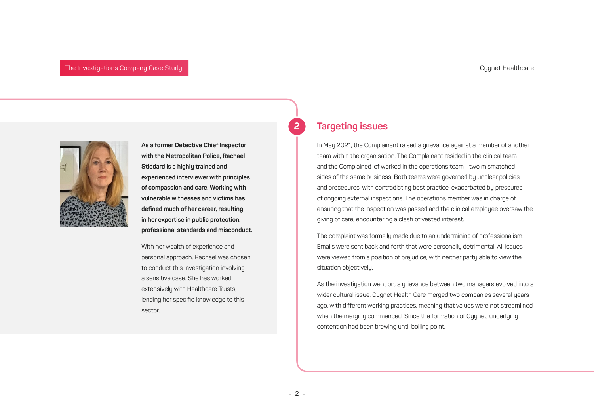

**As a former Detective Chief Inspector with the Metropolitan Police, Rachael Stiddard is a highly trained and experienced interviewer with principles of compassion and care. Working with vulnerable witnesses and victims has defined much of her career, resulting in her expertise in public protection, professional standards and misconduct.**

With her wealth of experience and personal approach, Rachael was chosen to conduct this investigation involving a sensitive case. She has worked extensively with Healthcare Trusts, lending her specific knowledge to this sector.

## **Targeting issues**

**2**

In May 2021, the Complainant raised a grievance against a member of another team within the organisation. The Complainant resided in the clinical team and the Complained-of worked in the operations team - two mismatched sides of the same business. Both teams were governed by unclear policies and procedures, with contradicting best practice, exacerbated by pressures of ongoing external inspections. The operations member was in charge of ensuring that the inspection was passed and the clinical employee oversaw the giving of care, encountering a clash of vested interest.

The complaint was formally made due to an undermining of professionalism. Emails were sent back and forth that were personally detrimental. All issues were viewed from a position of prejudice, with neither party able to view the situation objectively.

As the investigation went on, a grievance between two managers evolved into a wider cultural issue. Cygnet Health Care merged two companies several years ago, with different working practices, meaning that values were not streamlined when the merging commenced. Since the formation of Cygnet, underlying contention had been brewing until boiling point.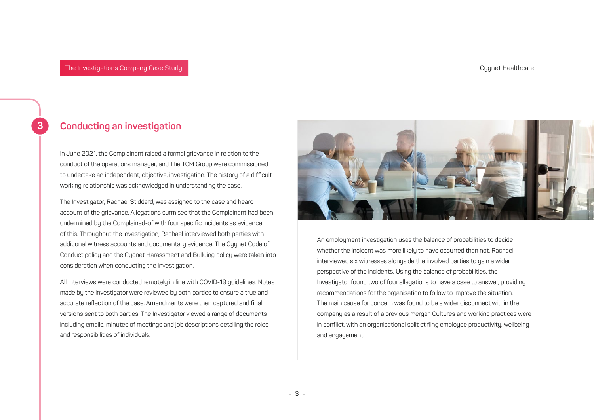# **Conducting an investigation**

In June 2021, the Complainant raised a formal grievance in relation to the conduct of the operations manager, and The TCM Group were commissioned to undertake an independent, objective, investigation. The history of a difficult working relationship was acknowledged in understanding the case.

The Investigator, Rachael Stiddard, was assigned to the case and heard account of the grievance. Allegations surmised that the Complainant had been undermined by the Complained-of with four specific incidents as evidence of this. Throughout the investigation, Rachael interviewed both parties with additional witness accounts and documentary evidence. The Cygnet Code of Conduct policy and the Cygnet Harassment and Bullying policy were taken into consideration when conducting the investigation.

All interviews were conducted remotely in line with COVID-19 guidelines. Notes made by the investigator were reviewed by both parties to ensure a true and accurate reflection of the case. Amendments were then captured and final versions sent to both parties. The Investigator viewed a range of documents including emails, minutes of meetings and job descriptions detailing the roles and responsibilities of individuals.



An employment investigation uses the balance of probabilities to decide whether the incident was more likely to have occurred than not. Rachael interviewed six witnesses alongside the involved parties to gain a wider perspective of the incidents. Using the balance of probabilities, the Investigator found two of four allegations to have a case to answer, providing recommendations for the organisation to follow to improve the situation. The main cause for concern was found to be a wider disconnect within the company as a result of a previous merger. Cultures and working practices were in conflict, with an organisational split stifling employee productivity, wellbeing and engagement.